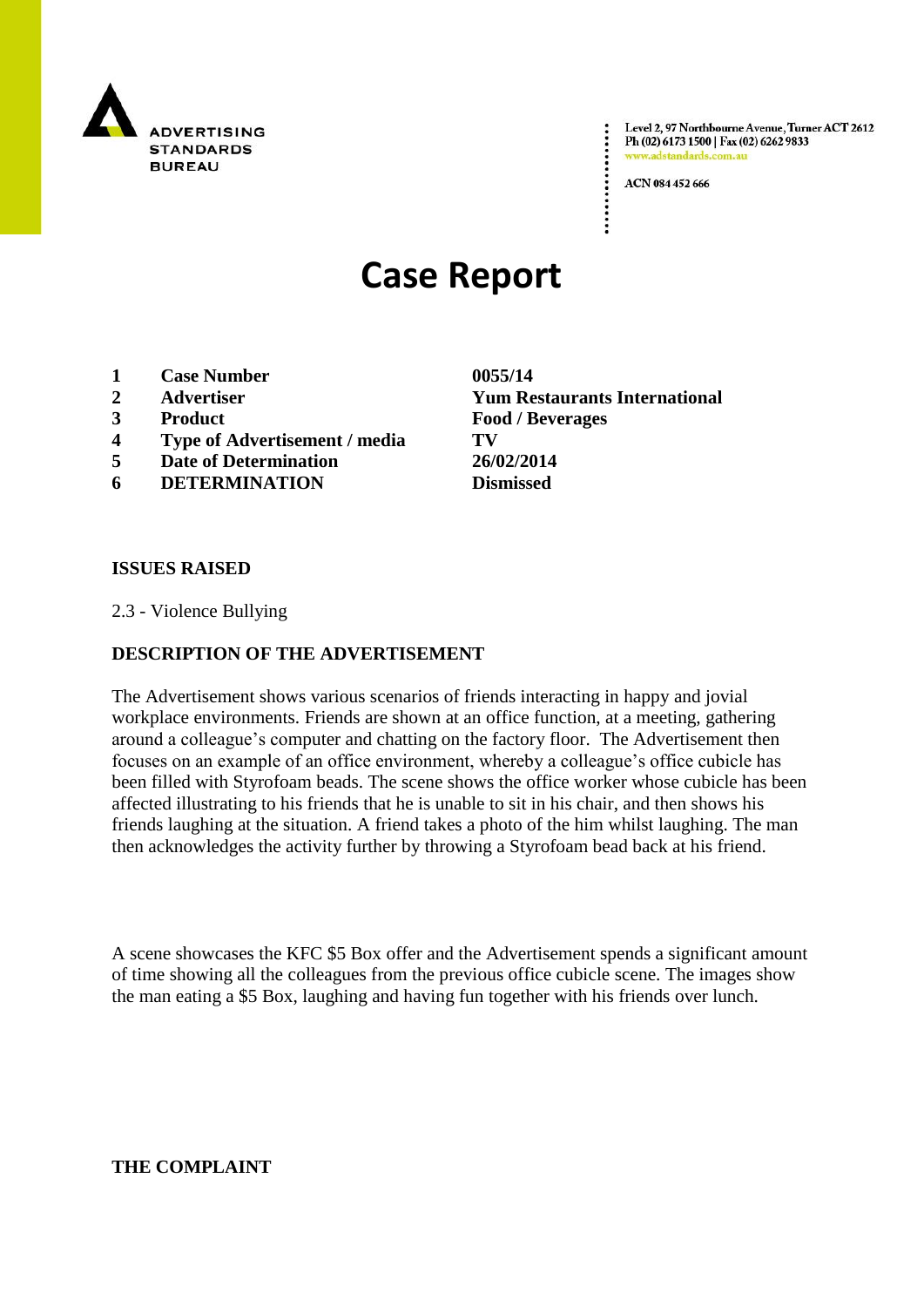

Level 2, 97 Northbourne Avenue, Turner ACT 2612 Ph (02) 6173 1500 | Fax (02) 6262 9833 www.adstandards.com.a

ACN 084 452 666

# **Case Report**

- **1 Case Number 0055/14**
- 
- 
- **4 Type of Advertisement / media TV**
- **5 Date of Determination 26/02/2014**
- **6 DETERMINATION Dismissed**

**2 Advertiser Yum Restaurants International 3 Product Food / Beverages**

### **ISSUES RAISED**

2.3 - Violence Bullying

## **DESCRIPTION OF THE ADVERTISEMENT**

The Advertisement shows various scenarios of friends interacting in happy and jovial workplace environments. Friends are shown at an office function, at a meeting, gathering around a colleague"s computer and chatting on the factory floor. The Advertisement then focuses on an example of an office environment, whereby a colleague"s office cubicle has been filled with Styrofoam beads. The scene shows the office worker whose cubicle has been affected illustrating to his friends that he is unable to sit in his chair, and then shows his friends laughing at the situation. A friend takes a photo of the him whilst laughing. The man then acknowledges the activity further by throwing a Styrofoam bead back at his friend.

A scene showcases the KFC \$5 Box offer and the Advertisement spends a significant amount of time showing all the colleagues from the previous office cubicle scene. The images show the man eating a \$5 Box, laughing and having fun together with his friends over lunch.

**THE COMPLAINT**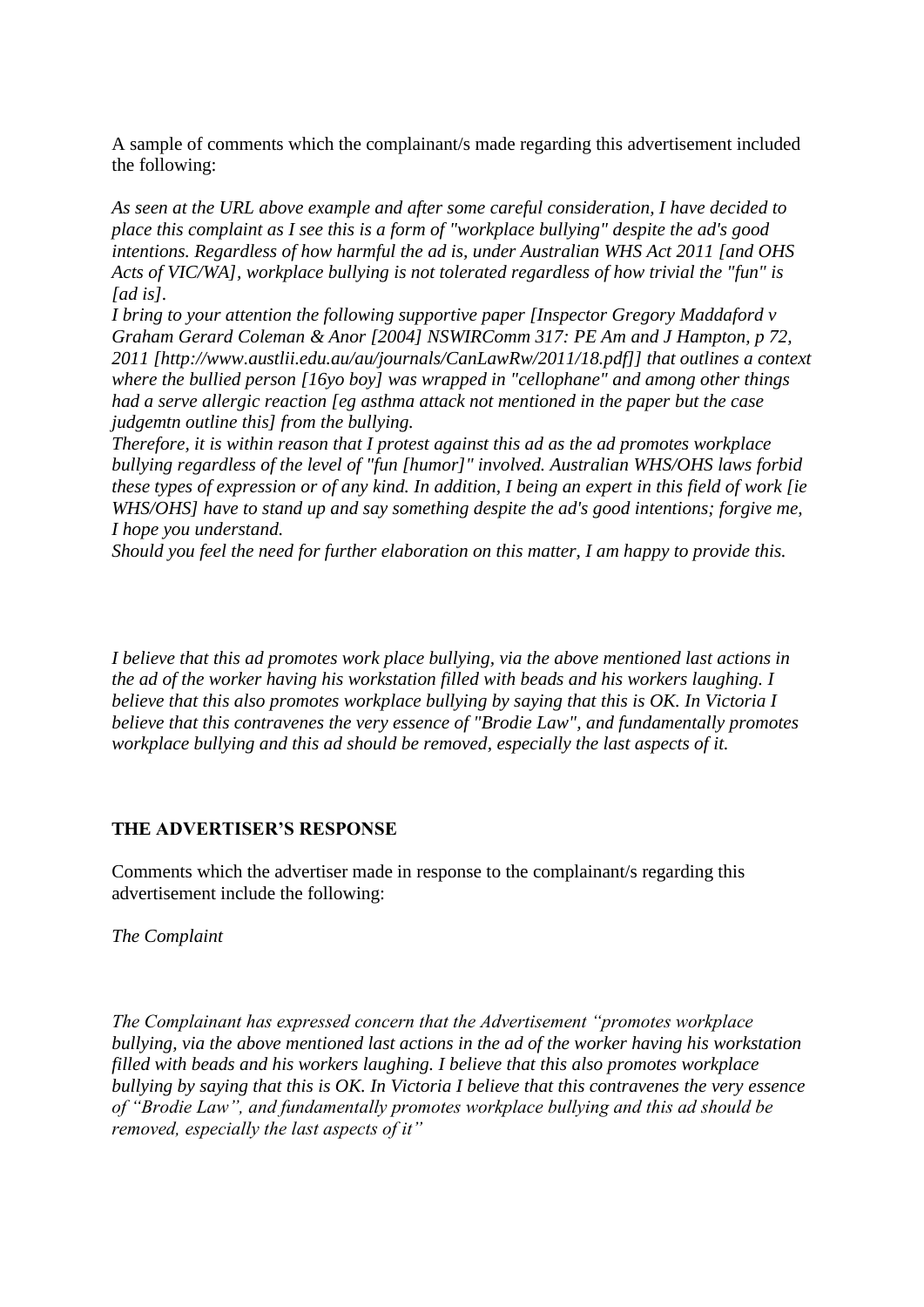A sample of comments which the complainant/s made regarding this advertisement included the following:

*As seen at the URL above example and after some careful consideration, I have decided to place this complaint as I see this is a form of "workplace bullying" despite the ad's good intentions. Regardless of how harmful the ad is, under Australian WHS Act 2011 [and OHS Acts of VIC/WA], workplace bullying is not tolerated regardless of how trivial the "fun" is [ad is].*

*I bring to your attention the following supportive paper [Inspector Gregory Maddaford v Graham Gerard Coleman & Anor [2004] NSWIRComm 317: PE Am and J Hampton, p 72, 2011 [http://www.austlii.edu.au/au/journals/CanLawRw/2011/18.pdf]] that outlines a context where the bullied person [16yo boy] was wrapped in "cellophane" and among other things had a serve allergic reaction [eg asthma attack not mentioned in the paper but the case judgemtn outline this] from the bullying.*

*Therefore, it is within reason that I protest against this ad as the ad promotes workplace bullying regardless of the level of "fun [humor]" involved. Australian WHS/OHS laws forbid these types of expression or of any kind. In addition, I being an expert in this field of work [ie WHS/OHS] have to stand up and say something despite the ad's good intentions; forgive me, I hope you understand.*

*Should you feel the need for further elaboration on this matter, I am happy to provide this.*

*I believe that this ad promotes work place bullying, via the above mentioned last actions in the ad of the worker having his workstation filled with beads and his workers laughing. I believe that this also promotes workplace bullying by saying that this is OK. In Victoria I believe that this contravenes the very essence of "Brodie Law", and fundamentally promotes workplace bullying and this ad should be removed, especially the last aspects of it.*

### **THE ADVERTISER'S RESPONSE**

Comments which the advertiser made in response to the complainant/s regarding this advertisement include the following:

*The Complaint*

*The Complainant has expressed concern that the Advertisement "promotes workplace bullying, via the above mentioned last actions in the ad of the worker having his workstation filled with beads and his workers laughing. I believe that this also promotes workplace bullying by saying that this is OK. In Victoria I believe that this contravenes the very essence of "Brodie Law", and fundamentally promotes workplace bullying and this ad should be removed, especially the last aspects of it"*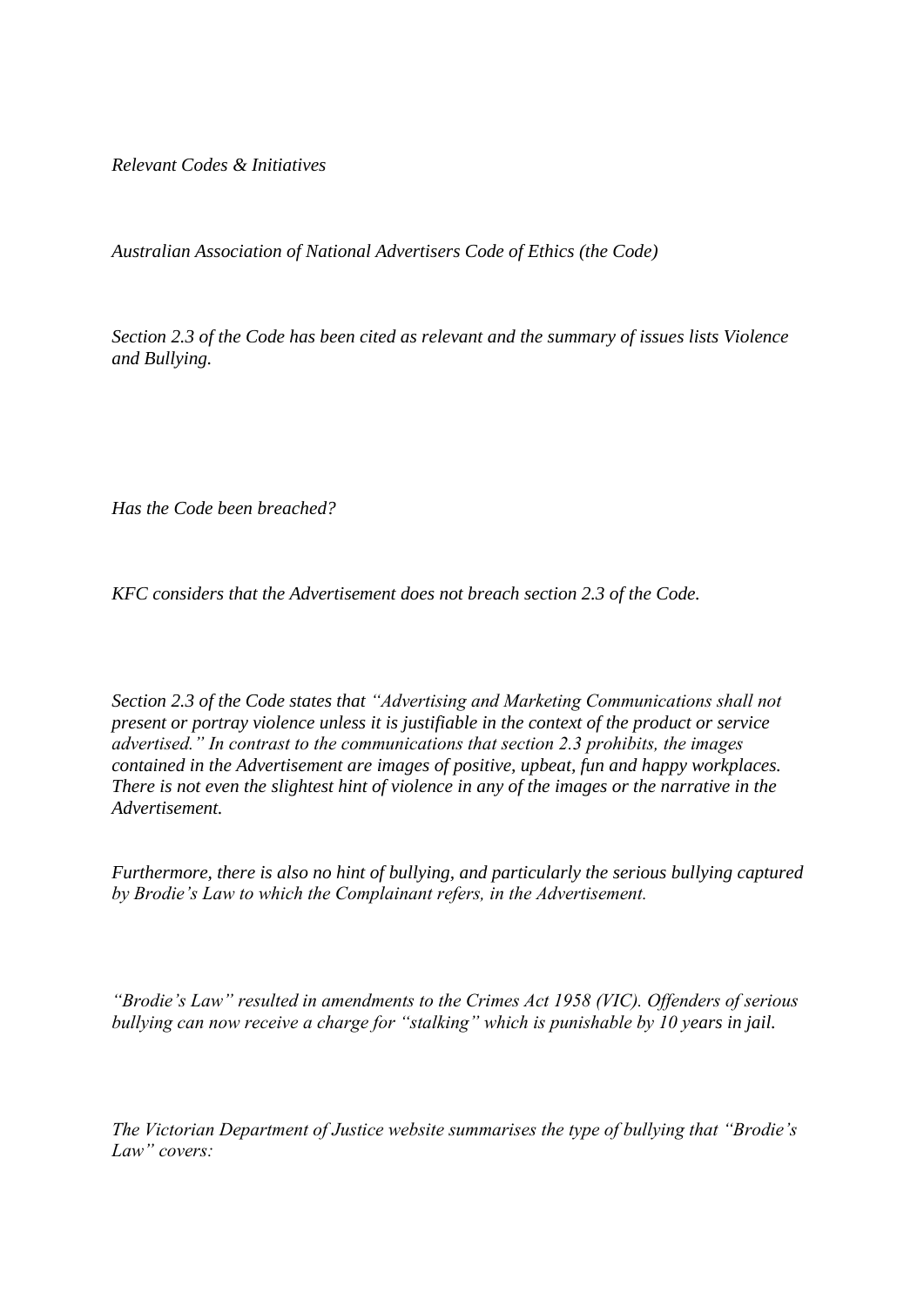*Relevant Codes & Initiatives*

*Australian Association of National Advertisers Code of Ethics (the Code)*

*Section 2.3 of the Code has been cited as relevant and the summary of issues lists Violence and Bullying.*

*Has the Code been breached?*

*KFC considers that the Advertisement does not breach section 2.3 of the Code.* 

*Section 2.3 of the Code states that "Advertising and Marketing Communications shall not present or portray violence unless it is justifiable in the context of the product or service advertised." In contrast to the communications that section 2.3 prohibits, the images contained in the Advertisement are images of positive, upbeat, fun and happy workplaces. There is not even the slightest hint of violence in any of the images or the narrative in the Advertisement.*

*Furthermore, there is also no hint of bullying, and particularly the serious bullying captured by Brodie's Law to which the Complainant refers, in the Advertisement.* 

*"Brodie's Law" resulted in amendments to the Crimes Act 1958 (VIC). Offenders of serious bullying can now receive a charge for "stalking" which is punishable by 10 years in jail.* 

*The Victorian Department of Justice website summarises the type of bullying that "Brodie's Law" covers:*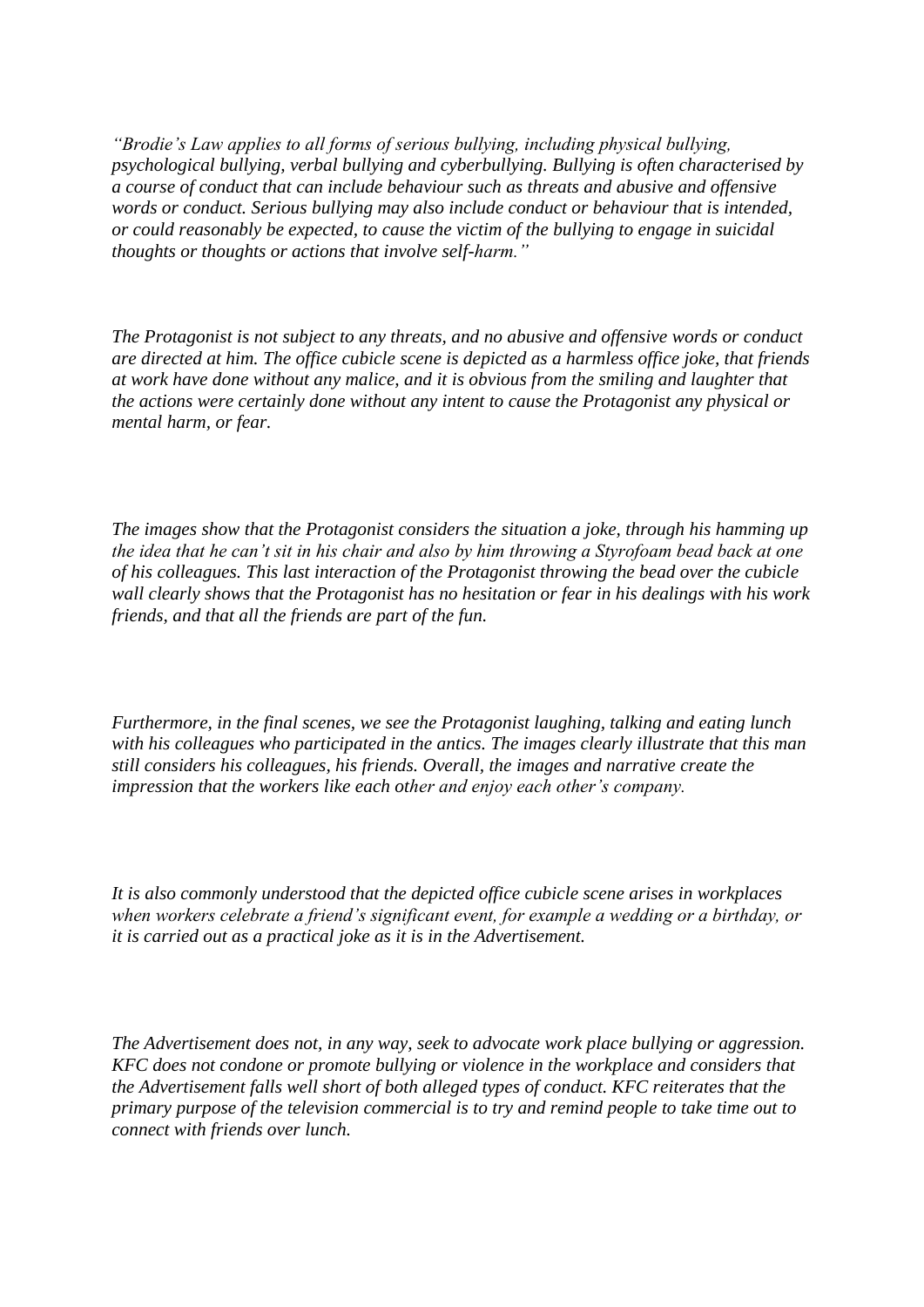*"Brodie's Law applies to all forms of serious bullying, including physical bullying, psychological bullying, verbal bullying and cyberbullying. Bullying is often characterised by a course of conduct that can include behaviour such as threats and abusive and offensive words or conduct. Serious bullying may also include conduct or behaviour that is intended, or could reasonably be expected, to cause the victim of the bullying to engage in suicidal thoughts or thoughts or actions that involve self-harm."* 

*The Protagonist is not subject to any threats, and no abusive and offensive words or conduct are directed at him. The office cubicle scene is depicted as a harmless office joke, that friends at work have done without any malice, and it is obvious from the smiling and laughter that the actions were certainly done without any intent to cause the Protagonist any physical or mental harm, or fear.* 

*The images show that the Protagonist considers the situation a joke, through his hamming up the idea that he can't sit in his chair and also by him throwing a Styrofoam bead back at one of his colleagues. This last interaction of the Protagonist throwing the bead over the cubicle wall clearly shows that the Protagonist has no hesitation or fear in his dealings with his work friends, and that all the friends are part of the fun.* 

*Furthermore, in the final scenes, we see the Protagonist laughing, talking and eating lunch with his colleagues who participated in the antics. The images clearly illustrate that this man still considers his colleagues, his friends. Overall, the images and narrative create the impression that the workers like each other and enjoy each other's company.*

*It is also commonly understood that the depicted office cubicle scene arises in workplaces when workers celebrate a friend's significant event, for example a wedding or a birthday, or it is carried out as a practical joke as it is in the Advertisement.* 

*The Advertisement does not, in any way, seek to advocate work place bullying or aggression. KFC does not condone or promote bullying or violence in the workplace and considers that the Advertisement falls well short of both alleged types of conduct. KFC reiterates that the primary purpose of the television commercial is to try and remind people to take time out to connect with friends over lunch.*